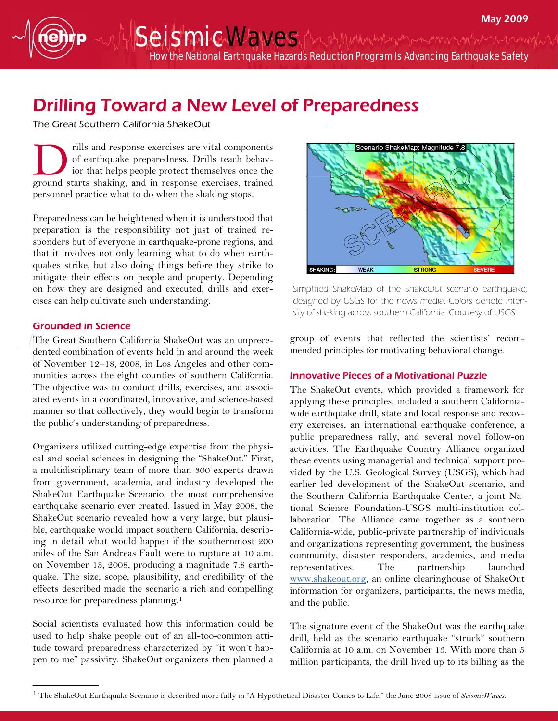SeismicWawes And Muthum the mother with the mother How the National Earthquake Hazards Reduction Program Is Advancing Earthquake Safety

## Drilling Toward a New Level of Preparedness

The Great Southern California ShakeOut

rills and response exercises are vital components of earthquake preparedness. Drills teach behavior that helps people protect themselves once the rills and response exercises are vital components of earthquake preparedness. Drills teach behavior that helps people protect themselves once the ground starts shaking, and in response exercises, trained personnel practice what to do when the shaking stops.

Preparedness can be heightened when it is understood that preparation is the responsibility not just of trained responders but of everyone in earthquake-prone regions, and that it involves not only learning what to do when earthquakes strike, but also doing things before they strike to mitigate their effects on people and property. Depending on how they are designed and executed, drills and exercises can help cultivate such understanding.

## Grounded in Science

The Great Southern California ShakeOut was an unprecedented combination of events held in and around the week of November 12–18, 2008, in Los Angeles and other communities across the eight counties of southern California. The objective was to conduct drills, exercises, and associated events in a coordinated, innovative, and science-based manner so that collectively, they would begin to transform the public's understanding of preparedness.

Organizers utilized cutting-edge expertise from the physical and social sciences in designing the "ShakeOut." First, a multidisciplinary team of more than 300 experts drawn from government, academia, and industry developed the ShakeOut Earthquake Scenario, the most comprehensive earthquake scenario ever created. Issued in May 2008, the ShakeOut scenario revealed how a very large, but plausible, earthquake would impact southern California, describing in detail what would happen if the southernmost 200 miles of the San Andreas Fault were to rupture at 10 a.m. on November 13, 2008, producing a magnitude 7.8 earthquake. The size, scope, plausibility, and credibility of the effects described made the scenario a rich and compelling resource for preparedness planning.<sup>1</sup>

Social scientists evaluated how this information could be used to help shake people out of an all-too-common attitude toward preparedness characterized by "it won't happen to me" passivity. ShakeOut organizers then planned a



Simplified ShakeMap of the ShakeOut scenario earthquake, designed by USGS for the news media. Colors denote intensity of shaking across southern California. Courtesy of USGS.

group of events that reflected the scientists' recommended principles for motivating behavioral change.

## Innovative Pieces of a Motivational Puzzle

The ShakeOut events, which provided a framework for applying these principles, included a southern Californiawide earthquake drill, state and local response and recovery exercises, an international earthquake conference, a public preparedness rally, and several novel follow-on activities. The Earthquake Country Alliance organized these events using managerial and technical support provided by the U.S. Geological Survey (USGS), which had earlier led development of the ShakeOut scenario, and the Southern California Earthquake Center, a joint National Science Foundation-USGS multi-institution collaboration. The Alliance came together as a southern California-wide, public-private partnership of individuals and organizations representing government, the business community, disaster responders, academics, and media representatives. The partnership launched www.shakeout.org, an online clearinghouse of ShakeOut information for organizers, participants, the news media, and the public.

The signature event of the ShakeOut was the earthquake drill, held as the scenario earthquake "struck" southern California at 10 a.m. on November 13. With more than 5 million participants, the drill lived up to its billing as the

<sup>1</sup> The ShakeOut Earthquake Scenario is described more fully in "A Hypothetical Disaster Comes to Life," the June 2008 issue of *SeismicWaves.*